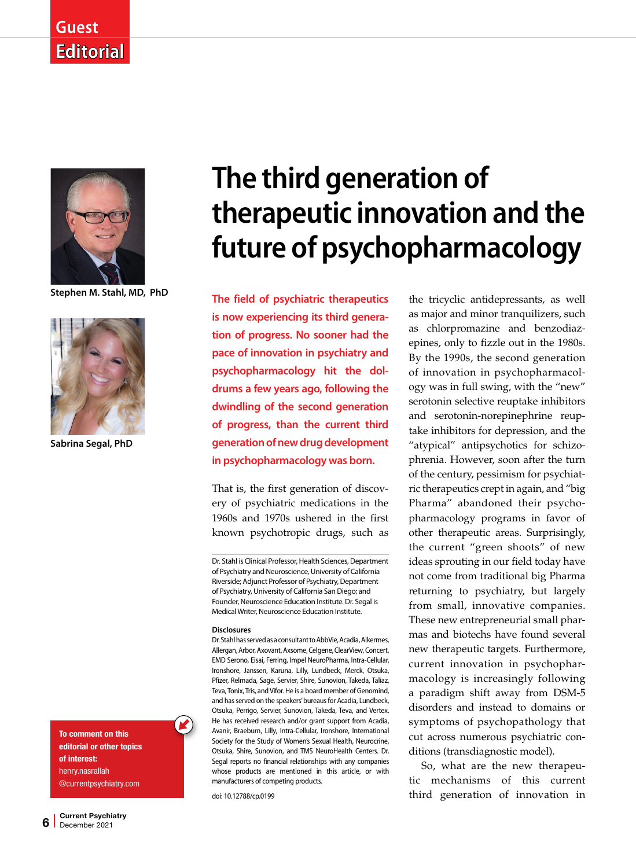## **Guest Editorial**



**Stephen M. Stahl, MD, PhD**



**Sabrina Segal, PhD** 

To comment on this editorial or other topics of interest: henry.nasrallah @currentpsychiatry.com

# **The third generation of therapeutic innovation and the future of psychopharmacology**

**The field of psychiatric therapeutics is now experiencing its third generation of progress. No sooner had the pace of innovation in psychiatry and psychopharmacology hit the doldrums a few years ago, following the dwindling of the second generation of progress, than the current third generation of new drug development in psychopharmacology was born.** 

That is, the first generation of discovery of psychiatric medications in the 1960s and 1970s ushered in the first known psychotropic drugs, such as

#### **Disclosures**

Dr. Stahl has served as a consultant to AbbVie, Acadia, Alkermes, Allergan, Arbor, Axovant, Axsome, Celgene, ClearView, Concert, EMD Serono, Eisai, Ferring, Impel NeuroPharma, Intra-Cellular, Ironshore, Janssen, Karuna, Lilly, Lundbeck, Merck, Otsuka, Pfizer, Relmada, Sage, Servier, Shire, Sunovion, Takeda, Taliaz, Teva, Tonix, Tris, and Vifor. He is a board member of Genomind, and has served on the speakers' bureaus for Acadia, Lundbeck, Otsuka, Perrigo, Servier, Sunovion, Takeda, Teva, and Vertex. He has received research and/or grant support from Acadia, Avanir, Braeburn, Lilly, Intra-Cellular, Ironshore, International Society for the Study of Women's Sexual Health, Neurocrine, Otsuka, Shire, Sunovion, and TMS NeuroHealth Centers. Dr. Segal reports no financial relationships with any companies whose products are mentioned in this article, or with manufacturers of competing products.

doi: 10.12788/cp.0199

the tricyclic antidepressants, as well as major and minor tranquilizers, such as chlorpromazine and benzodiazepines, only to fizzle out in the 1980s. By the 1990s, the second generation of innovation in psychopharmacology was in full swing, with the "new" serotonin selective reuptake inhibitors and serotonin-norepinephrine reuptake inhibitors for depression, and the "atypical" antipsychotics for schizophrenia. However, soon after the turn of the century, pessimism for psychiatric therapeutics crept in again, and "big Pharma" abandoned their psychopharmacology programs in favor of other therapeutic areas. Surprisingly, the current "green shoots" of new ideas sprouting in our field today have not come from traditional big Pharma returning to psychiatry, but largely from small, innovative companies. These new entrepreneurial small pharmas and biotechs have found several new therapeutic targets. Furthermore, current innovation in psychopharmacology is increasingly following a paradigm shift away from DSM-5 disorders and instead to domains or symptoms of psychopathology that cut across numerous psychiatric conditions (transdiagnostic model).

So, what are the new therapeutic mechanisms of this current third generation of innovation in

Dr. Stahl is Clinical Professor, Health Sciences, Department of Psychiatry and Neuroscience, University of California Riverside; Adjunct Professor of Psychiatry, Department of Psychiatry, University of California San Diego; and Founder, Neuroscience Education Institute. Dr. Segal is Medical Writer, Neuroscience Education Institute.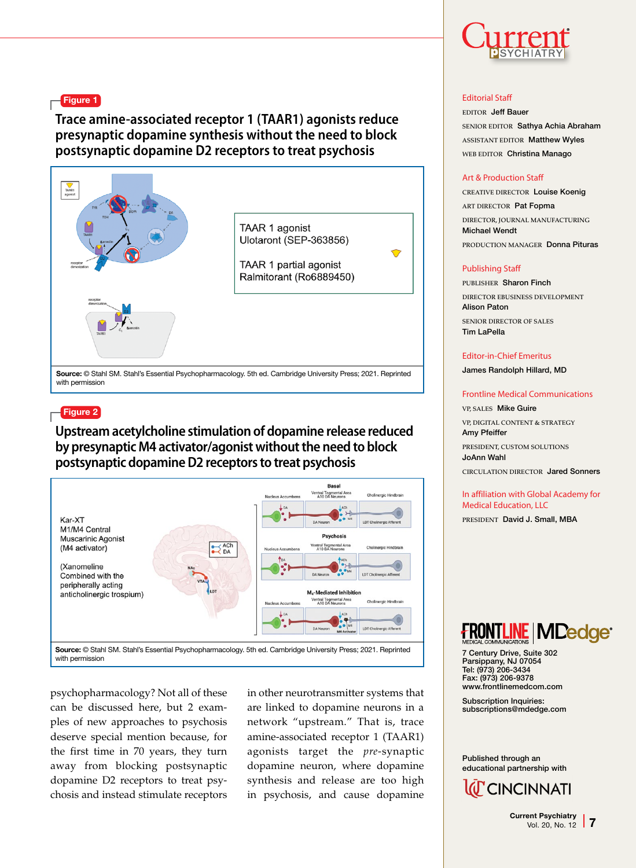Figure 1

**Trace amine-associated receptor 1 (TAAR1) agonists reduce presynaptic dopamine synthesis without the need to block postsynaptic dopamine D2 receptors to treat psychosis**



Source: © Stahl SM. Stahl's Essential Psychopharmacology. 5th ed. Cambridge University Press; 2021. Reprinted with permission

#### $=$  Figure 2

**Upstream acetylcholine stimulation of dopamine release reduced by presynaptic M4 activator/agonist without the need to block postsynaptic dopamine D2 receptors to treat psychosis**



psychopharmacology? Not all of these can be discussed here, but 2 examples of new approaches to psychosis deserve special mention because, for the first time in 70 years, they turn away from blocking postsynaptic dopamine D2 receptors to treat psychosis and instead stimulate receptors in other neurotransmitter systems that are linked to dopamine neurons in a network "upstream." That is, trace amine-associated receptor 1 (TAAR1) agonists target the *pre*-synaptic dopamine neuron, where dopamine synthesis and release are too high in psychosis, and cause dopamine



#### Editorial Staff

EDITOR Jeff Bauer SENIOR EDITOR Sathya Achia Abraham ASSISTANT EDITOR Matthew Wyles WEB EDITOR Christina Manago

#### Art & Production Staff

CREATIVE DIRECTOR Louise Koenig ART DIRECTOR Pat Fopma DIRECTOR, JOURNAL MANUFACTURING Michael Wendt PRODUCTION MANAGER Donna Pituras

#### Publishing Staff

PUBLISHER Sharon Finch DIRECTOR EBUSINESS DEVELOPMENT Alison Paton SENIOR DIRECTOR OF SALES Tim LaPella

#### Editor-in-Chief Emeritus

James Randolph Hillard, MD

#### Frontline Medical Communications

VP, SALES Mike Guire VP, DIGITAL CONTENT & STRATEGY Amy Pfeiffer PRESIDENT, CUSTOM SOLUTIONS JoAnn Wahl

CIRCULATION DIRECTOR Jared Sonners

### In affiliation with Global Academy for Medical Education, LLC

PRESIDENT David J. Small, MBA



7 Century Drive, Suite 302 Parsippany, NJ 07054 Tel: (973) 206-3434 Fax: (973) 206-9378 www.frontlinemedcom.com

Subscription Inquiries: subscriptions@mdedge.com

Published through an educational partnership with



Current Psychiatry Vol. 20, No. 12 7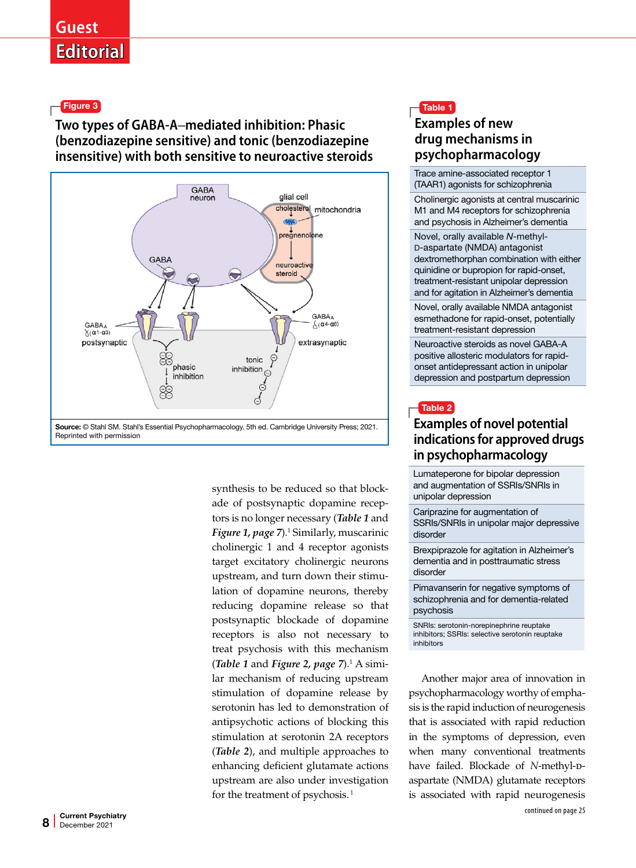Figure 3

## **Two types of GABA-A**–**mediated inhibition: Phasic (benzodiazepine sensitive) and tonic (benzodiazepine insensitive) with both sensitive to neuroactive steroids**





synthesis to be reduced so that blockade of postsynaptic dopamine receptors is no longer necessary (*Table 1* and *Figure 1, page 7*).<sup>1</sup> Similarly, muscarinic cholinergic 1 and 4 receptor agonists target excitatory cholinergic neurons upstream, and turn down their stimulation of dopamine neurons, thereby reducing dopamine release so that postsynaptic blockade of dopamine receptors is also not necessary to treat psychosis with this mechanism (*Table 1* and *Figure 2, page 7*).1 A similar mechanism of reducing upstream stimulation of dopamine release by serotonin has led to demonstration of antipsychotic actions of blocking this stimulation at serotonin 2A receptors (*Table 2*), and multiple approaches to enhancing deficient glutamate actions upstream are also under investigation for the treatment of psychosis.<sup>1</sup>

## Table 1 **Examples of new drug mechanisms in psychopharmacology**

Trace amine-associated receptor 1 (TAAR1) agonists for schizophrenia

Cholinergic agonists at central muscarinic M1 and M4 receptors for schizophrenia and psychosis in Alzheimer's dementia

Novel, orally available *N*-methyl-D-aspartate (NMDA) antagonist dextromethorphan combination with either quinidine or bupropion for rapid-onset, treatment-resistant unipolar depression and for agitation in Alzheimer's dementia

Novel, orally available NMDA antagonist esmethadone for rapid-onset, potentially treatment-resistant depression

Neuroactive steroids as novel GABA-A positive allosteric modulators for rapidonset antidepressant action in unipolar depression and postpartum depression



## **Examples of novel potential indications for approved drugs in psychopharmacology**

Lumateperone for bipolar depression and augmentation of SSRIs/SNRIs in unipolar depression

Cariprazine for augmentation of SSRIs/SNRIs in unipolar major depressive disorder

Brexpiprazole for agitation in Alzheimer's dementia and in posttraumatic stress disorder

Pimavanserin for negative symptoms of schizophrenia and for dementia-related psychosis

SNRIs: serotonin-norepinephrine reuptake inhibitors; SSRIs: selective serotonin reuptake inhibitors

Another major area of innovation in psychopharmacology worthy of emphasis is the rapid induction of neurogenesis that is associated with rapid reduction in the symptoms of depression, even when many conventional treatments have failed. Blockade of *N*-methyl-paspartate (NMDA) glutamate receptors is associated with rapid neurogenesis continued on page 25